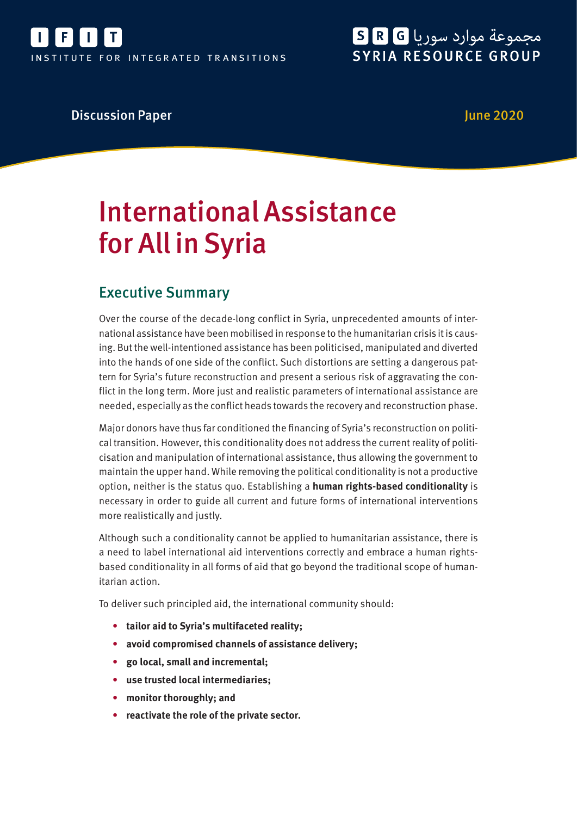

## مجموعة موارد سوريا R G **SYRIA RESOURCE GROUP**

#### Discussion Paper June 2020

# International Assistance for All in Syria

### Executive Summary

Over the course of the decade-long conflict in Syria, unprecedented amounts of international assistance have been mobilised in response to the humanitarian crisis it is causing. But the well-intentioned assistance has been politicised, manipulated and diverted into the hands of one side of the conflict. Such distortions are setting a dangerous pattern for Syria's future reconstruction and present a serious risk of aggravating the conflict in the long term. More just and realistic parameters of international assistance are needed, especially as the conflict heads towards the recovery and reconstruction phase.

Major donors have thus far conditioned the financing of Syria's reconstruction on political transition. However, this conditionality does not address the current reality of politicisation and manipulation of international assistance, thus allowing the government to maintain the upper hand. While removing the political conditionality is not a productive option, neither is the status quo. Establishing a **human rights-based conditionality** is necessary in order to guide all current and future forms of international interventions more realistically and justly.

Although such a conditionality cannot be applied to humanitarian assistance, there is a need to label international aid interventions correctly and embrace a human rightsbased conditionality in all forms of aid that go beyond the traditional scope of humanitarian action.

To deliver such principled aid, the international community should:

- **• tailor aid to Syria's multifaceted reality;**
- **• avoid compromised channels of assistance delivery;**
- **• go local, small and incremental;**
- **• use trusted local intermediaries;**
- **• monitor thoroughly; and**
- **• reactivate the role of the private sector.**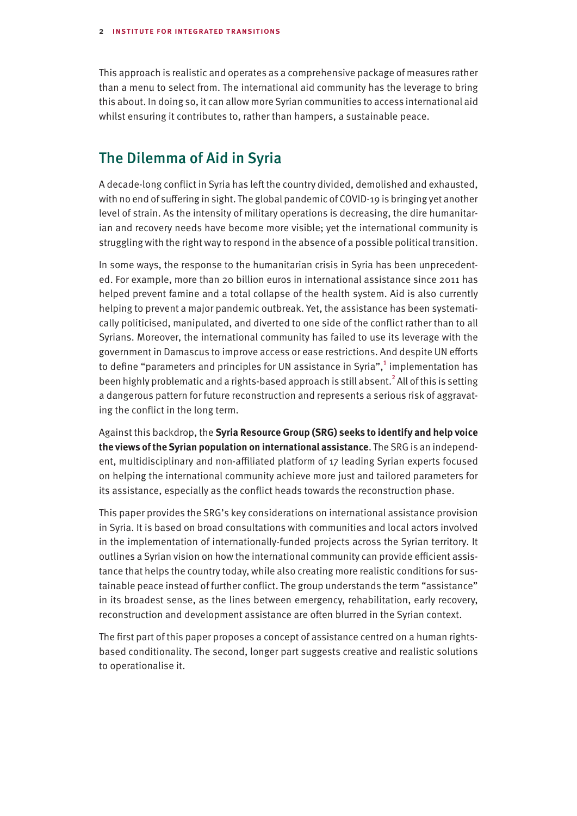This approach is realistic and operates as a comprehensive package of measures rather than a menu to select from. The international aid community has the leverage to bring this about. In doing so, it can allow more Syrian communities to access international aid whilst ensuring it contributes to, rather than hampers, a sustainable peace.

#### The Dilemma of Aid in Syria

A decade-long conflict in Syria has left the country divided, demolished and exhausted, with no end of suffering in sight. The global pandemic of COVID-19 is bringing yet another level of strain. As the intensity of military operations is decreasing, the dire humanitarian and recovery needs have become more visible; yet the international community is struggling with the right way to respond in the absence of a possible political transition.

In some ways, the response to the humanitarian crisis in Syria has been unprecedented. For example, more than 20 billion euros in international assistance since 2011 has helped prevent famine and a total collapse of the health system. Aid is also currently helping to prevent a major pandemic outbreak. Yet, the assistance has been systematically politicised, manipulated, and diverted to one side of the conflict rather than to all Syrians. Moreover, the international community has failed to use its leverage with the government in Damascus to improve access or ease restrictions. And despite UN efforts to define "parameters and principles for UN assistance in Syria", $^1$  implementation has been highly problematic and a rights-based approach is still absent.<sup>2</sup> All of this is setting a dangerous pattern for future reconstruction and represents a serious risk of aggravating the conflict in the long term.

Against this backdrop, the **Syria Resource Group (SRG) seeks to identify and help voice the views of the Syrian population on international assistance**. The SRG is an independent, multidisciplinary and non-affiliated platform of 17 leading Syrian experts focused on helping the international community achieve more just and tailored parameters for its assistance, especially as the conflict heads towards the reconstruction phase.

This paper provides the SRG's key considerations on international assistance provision in Syria. It is based on broad consultations with communities and local actors involved in the implementation of internationally-funded projects across the Syrian territory. It outlines a Syrian vision on how the international community can provide efficient assistance that helps the country today, while also creating more realistic conditions for sustainable peace instead of further conflict. The group understands the term "assistance" in its broadest sense, as the lines between emergency, rehabilitation, early recovery, reconstruction and development assistance are often blurred in the Syrian context.

The first part of this paper proposes a concept of assistance centred on a human rightsbased conditionality. The second, longer part suggests creative and realistic solutions to operationalise it.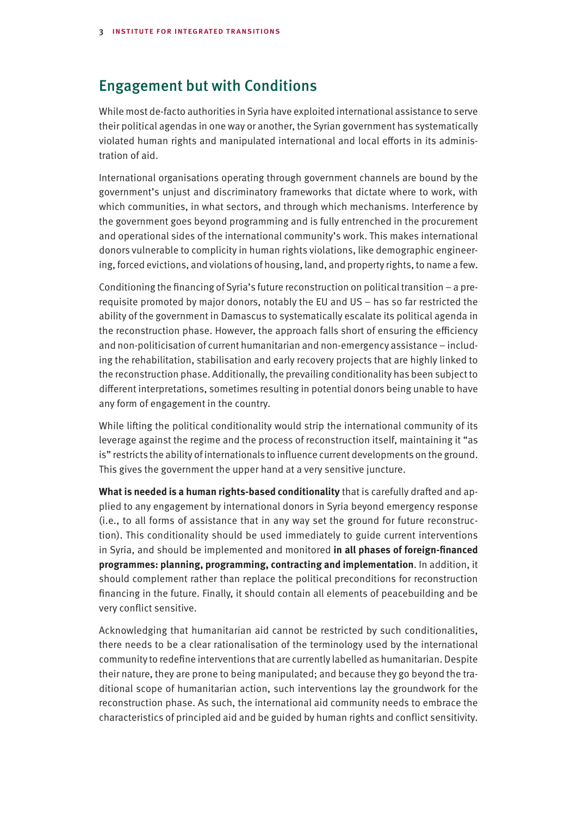#### Engagement but with Conditions

While most de-facto authorities in Syria have exploited international assistance to serve their political agendas in one way or another, the Syrian government has systematically violated human rights and manipulated international and local efforts in its administration of aid.

International organisations operating through government channels are bound by the government's unjust and discriminatory frameworks that dictate where to work, with which communities, in what sectors, and through which mechanisms. Interference by the government goes beyond programming and is fully entrenched in the procurement and operational sides of the international community's work. This makes international donors vulnerable to complicity in human rights violations, like demographic engineering, forced evictions, and violations of housing, land, and property rights, to name a few.

Conditioning the financing of Syria's future reconstruction on political transition – a prerequisite promoted by major donors, notably the EU and US – has so far restricted the ability of the government in Damascus to systematically escalate its political agenda in the reconstruction phase. However, the approach falls short of ensuring the efficiency and non-politicisation of current humanitarian and non-emergency assistance – including the rehabilitation, stabilisation and early recovery projects that are highly linked to the reconstruction phase. Additionally, the prevailing conditionality has been subject to different interpretations, sometimes resulting in potential donors being unable to have any form of engagement in the country.

While lifting the political conditionality would strip the international community of its leverage against the regime and the process of reconstruction itself, maintaining it "as is" restricts the ability of internationals to influence current developments on the ground. This gives the government the upper hand at a very sensitive juncture.

What is needed is a human rights-based conditionality that is carefully drafted and applied to any engagement by international donors in Syria beyond emergency response (i.e., to all forms of assistance that in any way set the ground for future reconstruction). This conditionality should be used immediately to guide current interventions in Syria, and should be implemented and monitored **in all phases of foreign-!nanced programmes: planning, programming, contracting and implementation**. In addition, it should complement rather than replace the political preconditions for reconstruction financing in the future. Finally, it should contain all elements of peacebuilding and be very conflict sensitive.

Acknowledging that humanitarian aid cannot be restricted by such conditionalities, there needs to be a clear rationalisation of the terminology used by the international community to redefine interventions that are currently labelled as humanitarian. Despite their nature, they are prone to being manipulated; and because they go beyond the traditional scope of humanitarian action, such interventions lay the groundwork for the reconstruction phase. As such, the international aid community needs to embrace the characteristics of principled aid and be guided by human rights and conflict sensitivity.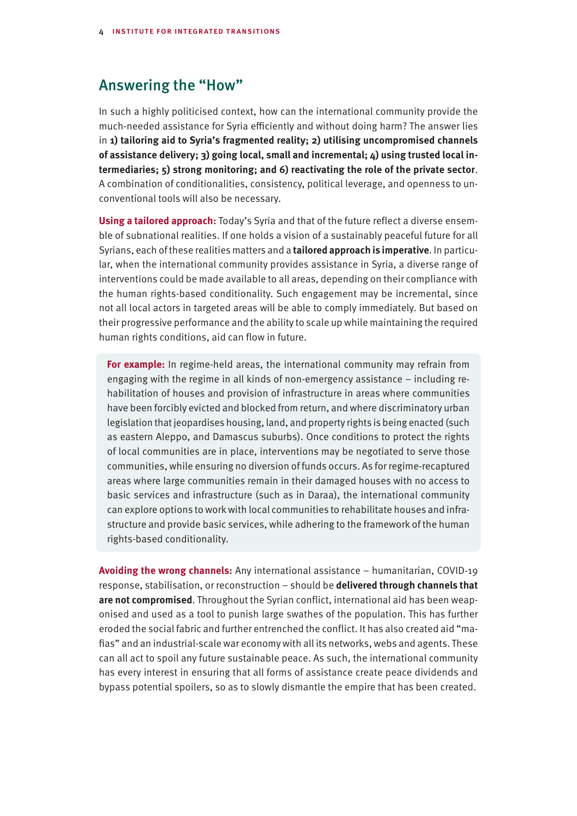#### Answering the "How"

In such a highly politicised context, how can the international community provide the much-needed assistance for Syria efficiently and without doing harm? The answer lies in **1) tailoring aid to Syria's fragmented reality; 2) utilising uncompromised channels of assistance delivery; 3) going local, small and incremental; 4) using trusted local intermediaries; 5) strong monitoring; and 6) reactivating the role of the private sector**. A combination of conditionalities, consistency, political leverage, and openness to unconventional tools will also be necessary.

**Using a tailored approach:** Today's Syria and that of the future reflect a diverse ensemble of subnational realities. If one holds a vision of a sustainably peaceful future for all Syrians, each of these realities matters and a **tailored approach is imperative**. In particular, when the international community provides assistance in Syria, a diverse range of interventions could be made available to all areas, depending on their compliance with the human rights-based conditionality. Such engagement may be incremental, since not all local actors in targeted areas will be able to comply immediately. But based on their progressive performance and the ability to scale up while maintaining the required human rights conditions, aid can flow in future.

**For example:** In regime-held areas, the international community may refrain from engaging with the regime in all kinds of non-emergency assistance – including rehabilitation of houses and provision of infrastructure in areas where communities have been forcibly evicted and blocked from return, and where discriminatory urban legislation that jeopardises housing, land, and property rights is being enacted (such as eastern Aleppo, and Damascus suburbs). Once conditions to protect the rights of local communities are in place, interventions may be negotiated to serve those communities, while ensuring no diversion of funds occurs. As for regime-recaptured areas where large communities remain in their damaged houses with no access to basic services and infrastructure (such as in Daraa), the international community can explore options to work with local communities to rehabilitate houses and infrastructure and provide basic services, while adhering to the framework of the human rights-based conditionality.

**Avoiding the wrong channels:** Any international assistance – humanitarian, COVID-19 response, stabilisation, or reconstruction – should be **delivered through channels that are not compromised**. Throughout the Syrian conflict, international aid has been weaponised and used as a tool to punish large swathes of the population. This has further eroded the social fabric and further entrenched the conflict. It has also created aid "ma fias" and an industrial-scale war economy with all its networks, webs and agents. These can all act to spoil any future sustainable peace. As such, the international community has every interest in ensuring that all forms of assistance create peace dividends and bypass potential spoilers, so as to slowly dismantle the empire that has been created.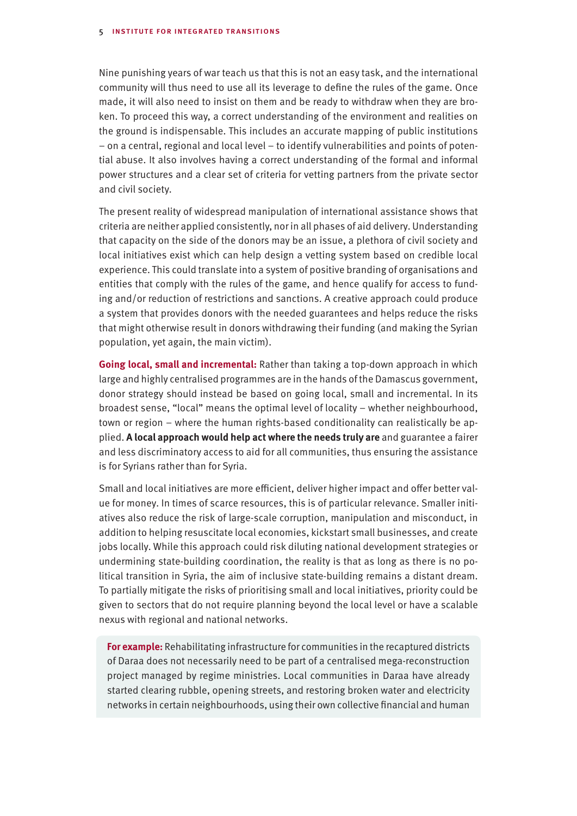Nine punishing years of war teach us that this is not an easy task, and the international community will thus need to use all its leverage to define the rules of the game. Once made, it will also need to insist on them and be ready to withdraw when they are broken. To proceed this way, a correct understanding of the environment and realities on the ground is indispensable. This includes an accurate mapping of public institutions – on a central, regional and local level – to identify vulnerabilities and points of potential abuse. It also involves having a correct understanding of the formal and informal power structures and a clear set of criteria for vetting partners from the private sector and civil society.

The present reality of widespread manipulation of international assistance shows that criteria are neither applied consistently, nor in all phases of aid delivery. Understanding that capacity on the side of the donors may be an issue, a plethora of civil society and local initiatives exist which can help design a vetting system based on credible local experience. This could translate into a system of positive branding of organisations and entities that comply with the rules of the game, and hence qualify for access to funding and/or reduction of restrictions and sanctions. A creative approach could produce a system that provides donors with the needed guarantees and helps reduce the risks that might otherwise result in donors withdrawing their funding (and making the Syrian population, yet again, the main victim).

**Going local, small and incremental:** Rather than taking a top-down approach in which large and highly centralised programmes are in the hands of the Damascus government, donor strategy should instead be based on going local, small and incremental. In its broadest sense, "local" means the optimal level of locality – whether neighbourhood, town or region – where the human rights-based conditionality can realistically be applied. **A local approach would help act where the needs truly are** and guarantee a fairer and less discriminatory access to aid for all communities, thus ensuring the assistance is for Syrians rather than for Syria.

Small and local initiatives are more efficient, deliver higher impact and offer better value for money. In times of scarce resources, this is of particular relevance. Smaller initiatives also reduce the risk of large-scale corruption, manipulation and misconduct, in addition to helping resuscitate local economies, kickstart small businesses, and create jobs locally. While this approach could risk diluting national development strategies or undermining state-building coordination, the reality is that as long as there is no political transition in Syria, the aim of inclusive state-building remains a distant dream. To partially mitigate the risks of prioritising small and local initiatives, priority could be given to sectors that do not require planning beyond the local level or have a scalable nexus with regional and national networks.

**For example:** Rehabilitating infrastructure for communities in the recaptured districts of Daraa does not necessarily need to be part of a centralised mega-reconstruction project managed by regime ministries. Local communities in Daraa have already started clearing rubble, opening streets, and restoring broken water and electricity networks in certain neighbourhoods, using their own collective financial and human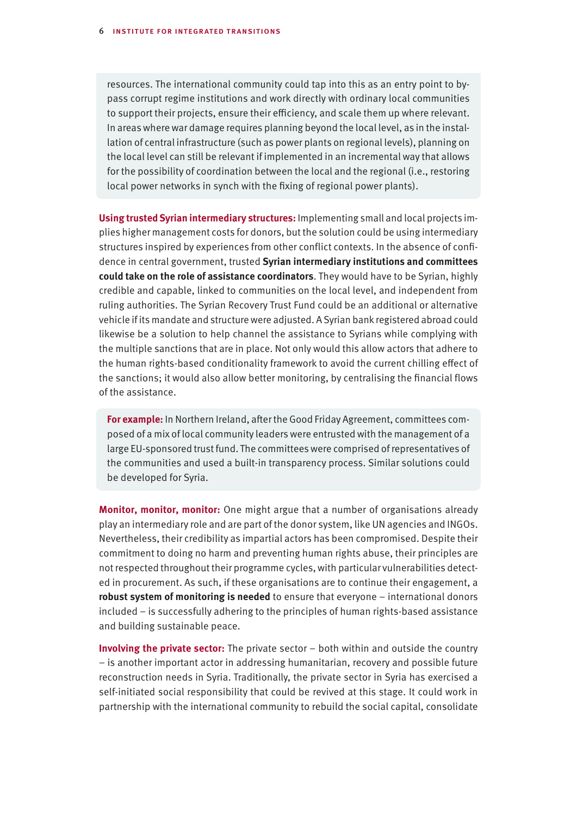resources. The international community could tap into this as an entry point to bypass corrupt regime institutions and work directly with ordinary local communities to support their projects, ensure their efficiency, and scale them up where relevant. In areas where war damage requires planning beyond the local level, as in the installation of central infrastructure (such as power plants on regional levels), planning on the local level can still be relevant if implemented in an incremental way that allows for the possibility of coordination between the local and the regional (i.e., restoring local power networks in synch with the fixing of regional power plants).

**Using trusted Syrian intermediary structures:** Implementing small and local projects implies higher management costs for donors, but the solution could be using intermediary structures inspired by experiences from other conflict contexts. In the absence of confidence in central government, trusted **Syrian intermediary institutions and committees could take on the role of assistance coordinators**. They would have to be Syrian, highly credible and capable, linked to communities on the local level, and independent from ruling authorities. The Syrian Recovery Trust Fund could be an additional or alternative vehicle if its mandate and structure were adjusted. A Syrian bank registered abroad could likewise be a solution to help channel the assistance to Syrians while complying with the multiple sanctions that are in place. Not only would this allow actors that adhere to the human rights-based conditionality framework to avoid the current chilling effect of the sanctions; it would also allow better monitoring, by centralising the financial flows of the assistance.

**For example:** In Northern Ireland, after the Good Friday Agreement, committees composed of a mix of local community leaders were entrusted with the management of a large EU-sponsored trust fund. The committees were comprised of representatives of the communities and used a built-in transparency process. Similar solutions could be developed for Syria.

**Monitor, monitor, monitor:** One might argue that a number of organisations already play an intermediary role and are part of the donor system, like UN agencies and INGOs. Nevertheless, their credibility as impartial actors has been compromised. Despite their commitment to doing no harm and preventing human rights abuse, their principles are not respected throughout their programme cycles, with particular vulnerabilities detected in procurement. As such, if these organisations are to continue their engagement, a **robust system of monitoring is needed** to ensure that everyone – international donors included – is successfully adhering to the principles of human rights-based assistance and building sustainable peace.

**Involving the private sector:** The private sector – both within and outside the country – is another important actor in addressing humanitarian, recovery and possible future reconstruction needs in Syria. Traditionally, the private sector in Syria has exercised a self-initiated social responsibility that could be revived at this stage. It could work in partnership with the international community to rebuild the social capital, consolidate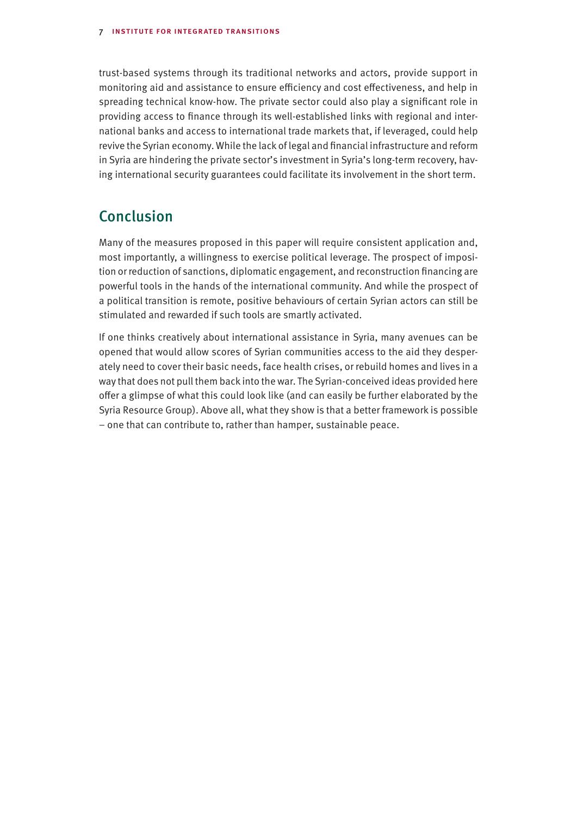trust-based systems through its traditional networks and actors, provide support in monitoring aid and assistance to ensure efficiency and cost effectiveness, and help in spreading technical know-how. The private sector could also play a significant role in providing access to finance through its well-established links with regional and international banks and access to international trade markets that, if leveraged, could help revive the Syrian economy. While the lack of legal and financial infrastructure and reform in Syria are hindering the private sector's investment in Syria's long-term recovery, having international security guarantees could facilitate its involvement in the short term.

### Conclusion

Many of the measures proposed in this paper will require consistent application and, most importantly, a willingness to exercise political leverage. The prospect of imposition or reduction of sanctions, diplomatic engagement, and reconstruction financing are powerful tools in the hands of the international community. And while the prospect of a political transition is remote, positive behaviours of certain Syrian actors can still be stimulated and rewarded if such tools are smartly activated.

If one thinks creatively about international assistance in Syria, many avenues can be opened that would allow scores of Syrian communities access to the aid they desperately need to cover their basic needs, face health crises, or rebuild homes and lives in a way that does not pull them back into the war. The Syrian-conceived ideas provided here offer a glimpse of what this could look like (and can easily be further elaborated by the Syria Resource Group). Above all, what they show is that a better framework is possible – one that can contribute to, rather than hamper, sustainable peace.